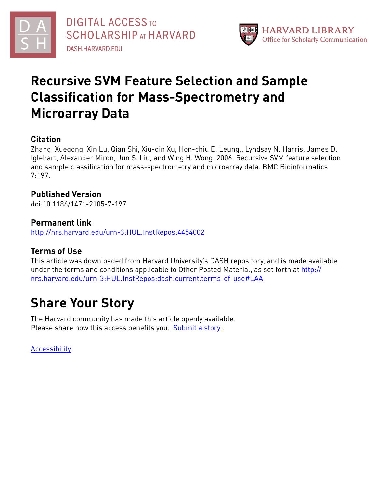



## **Recursive SVM Feature Selection and Sample Classification for Mass-Spectrometry and Microarray Data**

## **Citation**

Zhang, Xuegong, Xin Lu, Qian Shi, Xiu-qin Xu, Hon-chiu E. Leung,, Lyndsay N. Harris, James D. Iglehart, Alexander Miron, Jun S. Liu, and Wing H. Wong. 2006. Recursive SVM feature selection and sample classification for mass-spectrometry and microarray data. BMC Bioinformatics 7:197.

## **Published Version**

doi:10.1186/1471-2105-7-197

## **Permanent link**

<http://nrs.harvard.edu/urn-3:HUL.InstRepos:4454002>

## **Terms of Use**

This article was downloaded from Harvard University's DASH repository, and is made available under the terms and conditions applicable to Other Posted Material, as set forth at [http://](http://nrs.harvard.edu/urn-3:HUL.InstRepos:dash.current.terms-of-use#LAA) [nrs.harvard.edu/urn-3:HUL.InstRepos:dash.current.terms-of-use#LAA](http://nrs.harvard.edu/urn-3:HUL.InstRepos:dash.current.terms-of-use#LAA)

# **Share Your Story**

The Harvard community has made this article openly available. Please share how this access benefits you. [Submit](http://osc.hul.harvard.edu/dash/open-access-feedback?handle=&title=Recursive%20SVM%20Feature%20Selection%20and%20Sample%20Classification%20for%20Mass-Spectrometry%20and%20Microarray%20Data&community=1/1&collection=1/2&owningCollection1/2&harvardAuthors=a49c9fefe7b4078e30f71c48302a4561&departmentStatistics) a story.

[Accessibility](https://dash.harvard.edu/pages/accessibility)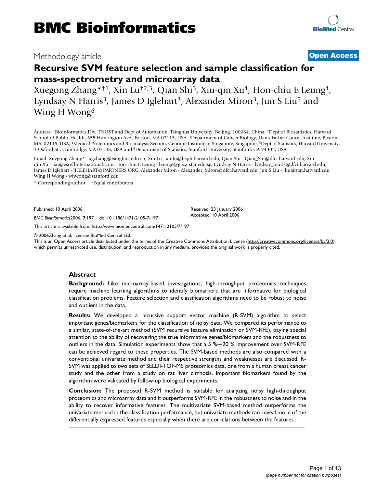### Methodology article **[Open Access](http://www.biomedcentral.com/info/about/charter/)**

## **Recursive SVM feature selection and sample classification for mass-spectrometry and microarray data**

Xuegong Zhang\*†1, Xin Lu†2,3, Qian Shi3, Xiu-qin Xu4, Hon-chiu E Leung4, Lyndsay N Harris<sup>3</sup>, James D Iglehart<sup>3</sup>, Alexander Miron<sup>3</sup>, Jun S Liu<sup>5</sup> and Wing H Wong<sup>6</sup>

Address: 1Bioinformatics Div, TNLIST and Dept of Automation. Tsinghua University, Beijing, 100084, China, 2Dept of Biostatistics, Harvard School of Public Health, 655 Huntington Ave., Boston, MA 02115, USA, 3Department of Cancer Biology, Dana-Farber Cancer Institute, Boston, MA, 02115, USA, 4Medical Proteomics and Bioanalysis Section, Genome Institute of Singapore, Singapore, 5Dept of Statistics, Harvard University, 1 Oxford St., Cambridge, MA 02138, USA and 6Department of Statistics, Stanford University, Stanford, CA 94305, USA

Email: Xuegong Zhang\* - xgzhang@tsinghua.edu.cn; Xin Lu - xinlu@hsph.harvard.edu; Qian Shi - Qian\_Shi@dfci.harvard.edu; Xiuqin Xu - jxu@escellinternational.com; Hon-chiu E Leung - leunge@gis.a-star.edu.sg; Lyndsay N Harris - lyndsay\_harris@dfci.harvard.edu; James D Iglehart - JIGLEHART@PARTNERS.ORG; Alexander Miron - Alexander\_Miron@dfci.harvard.edu; Jun S Liu - jliu@stat.harvard.edu; Wing H Wong - whwong@stanford.edu

\* Corresponding author †Equal contributors

Published: 10 April 2006

*BMC Bioinformatics*2006, **7**:197 doi:10.1186/1471-2105-7-197

[This article is available from: http://www.biomedcentral.com/1471-2105/7/197](http://www.biomedcentral.com/1471-2105/7/197)

© 2006Zhang et al; licensee BioMed Central Ltd.

This is an Open Access article distributed under the terms of the Creative Commons Attribution License [\(http://creativecommons.org/licenses/by/2.0\)](http://creativecommons.org/licenses/by/2.0), which permits unrestricted use, distribution, and reproduction in any medium, provided the original work is properly cited.

Received: 23 January 2006 Accepted: 10 April 2006

#### **Abstract**

**Background:** Like microarray-based investigations, high-throughput proteomics techniques require machine learning algorithms to identify biomarkers that are informative for biological classification problems. Feature selection and classification algorithms need to be robust to noise and outliers in the data.

**Results:** We developed a recursive support vector machine (R-SVM) algorithm to select important genes/biomarkers for the classification of noisy data. We compared its performance to a similar, state-of-the-art method (SVM recursive feature elimination or SVM-RFE), paying special attention to the ability of recovering the true informative genes/biomarkers and the robustness to outliers in the data. Simulation experiments show that a 5 %-~20 % improvement over SVM-RFE can be achieved regard to these properties. The SVM-based methods are also compared with a conventional univariate method and their respective strengths and weaknesses are discussed. R-SVM was applied to two sets of SELDI-TOF-MS proteomics data, one from a human breast cancer study and the other from a study on rat liver cirrhosis. Important biomarkers found by the algorithm were validated by follow-up biological experiments.

**Conclusion:** The proposed R-SVM method is suitable for analyzing noisy high-throughput proteomics and microarray data and it outperforms SVM-RFE in the robustness to noise and in the ability to recover informative features. The multivariate SVM-based method outperforms the univariate method in the classification performance, but univariate methods can reveal more of the differentially expressed features especially when there are correlations between the features.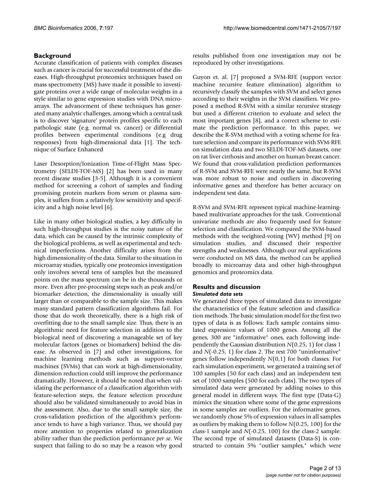### **Background**

Accurate classification of patients with complex diseases such as cancer is crucial for successful treatment of the diseases. High-throughput proteomics techniques based on mass spectrometry (MS) have made it possible to investigate proteins over a wide range of molecular weights in a style similar to gene expression studies with DNA microarrays. The advancement of these techniques has generated many analytic challenges, among which a central task is to discover 'signature' protein profiles specific to each pathologic state (e.g. normal vs. cancer) or differential profiles between experimental conditions (e.g drug responses) from high-dimensional data [1]. The technique of Surface Enhanced

Laser Desorption/Ionization Time-of-Flight Mass Spectrometry (SELDI-TOF-MS) [2] has been used in many recent disease studies [3-5]. Although it is a convenient method for screening a cohort of samples and finding promising protein markers from serum or plasma samples, it suffers from a relatively low sensitivity and specificity and a high noise level [6].

Like in many other biological studies, a key difficulty in such high-throughput studies is the noisy nature of the data, which can be caused by the intrinsic complexity of the biological problems, as well as experimental and technical imperfections. Another difficulty arises from the high dimensionality of the data. Similar to the situation in microarray studies, typically one proteomics investigation only involves several tens of samples but the measured points on the mass spectrum can be in the thousands or more. Even after pre-processing steps such as peak and/or biomarker detection, the dimensionality is usually still larger than or comparable to the sample size. This makes many standard pattern classification algorithms fail. For those that do work theoretically, there is a high risk of overfitting due to the small sample size. Thus, there is an algorithmic need for feature selection in addition to the biological need of discovering a manageable set of key molecular factors (genes or biomarkers) behind the disease. As observed in [7] and other investigations, for machine learning methods such as support-vector machines (SVMs) that can work at high-dimensionality, dimension reduction could still improve the performance dramatically. However, it should be noted that when validating the performance of a classification algorithm with feature-selection steps, the feature selection procedure should also be validated simultaneously to avoid bias in the assessment. Also, due to the small sample size, the cross-validation prediction of the algorithm's performance tends to have a high variance. Thus, we should pay more attention to properties related to generalization ability rather than the prediction performance *per se*. We suspect that failing to do so may be a reason why good

results published from one investigation may not be reproduced by other investigations.

Guyon et. al. [7] proposed a SVM-RFE (support vector machine recursive feature elimination) algorithm to recursively classify the samples with SVM and select genes according to their weights in the SVM classifiers. We proposed a method R-SVM with a similar recursive strategy but used a different criterion to evaluate and select the most important genes [8], and a correct scheme to estimate the prediction performance. In this paper, we describe the R-SVM method with a voting scheme for feature selection and compare its performance with SVM-RFE on simulation data and two SELDI-TOF-MS datasets, one on rat liver cirrhosis and another on human breast cancer. We found that cross-validation prediction performances of R-SVM and SVM-RFE were nearly the same, but R-SVM was more robust to noise and outliers in discovering informative genes and therefore has better accuracy on independent test data.

R-SVM and SVM-RFE represent typical machine-learningbased multivariate approaches for the task. Conventional univariate methods are also frequently used for feature selection and classification. We compared the SVM-based methods with the weighted-voting (WV) method [9] on simulation studies, and discussed their respective strengths and weaknesses. Although our real applications were conducted on MS data, the method can be applied broadly to microarray data and other high-throughput genomics and proteomics data.

#### **Results and discussion** *Simulated data sets*

We generated three types of simulated data to investigate the characteristics of the feature selection and classification methods. The basic simulation model for the first two types of data is as follows: Each sample contains simulated expression values of 1000 genes. Among all the genes, 300 are "informative" ones, each following independently the Gaussian distribution *N*(0.25, 1) for class 1 and *N*(-0.25, 1) for class 2. The rest 700 "uninformative" genes follow independently *N*(0,1) for both classes. For each simulation experiment, we generated a training set of 100 samples (50 for each class) and an independent test set of 1000 samples (500 for each class). The two types of simulated data were generated by adding noises to this general model in different ways. The first type (Data-G) mimics the situation where some of the gene expressions in some samples are outliers. For the informative genes, we randomly chose 5% of expression values in all samples as outliers by making them to follow *N*(0.25, 100) for the class-1 sample and *N*(-0.25, 100) for the class-2 sample. The second type of simulated datasets (Data-S) is constructed to contain 5% "outlier samples," which were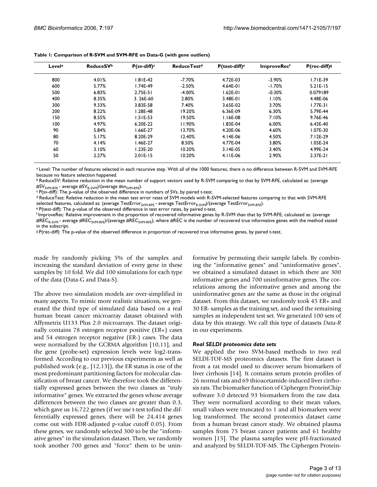| Level <sup>a</sup> | <b>ReduceSVb</b> | $P$ (sv-diff) <sup>c</sup> | ReduceTest <sup>d</sup> | $P$ (test-diff) <sup>e</sup> | <b>ImproveRecf</b> | $P$ (rec-diff) $8$ |
|--------------------|------------------|----------------------------|-------------------------|------------------------------|--------------------|--------------------|
| 800                | 4.01%            | $1.81E-42$                 | $-7.70%$                | 4.72E-03                     | $-3.90%$           | $1.71E-39$         |
| 600                | 5.77%            | $1.74E-49$                 | $-2.50%$                | 4.64E-01                     | $-1.70%$           | $5.21E - 15$       |
| 500                | 6.83%            | 2.75E-51                   | $-4.00%$                | $1.62E - 01$                 | $-0.30%$           | 0.079189           |
| 400                | 8.35%            | 3.26E-60                   | 2.80%                   | 3.48E-01                     | 1.10%              | 4.48E-06           |
| 300                | 9.33%            | 3.83E-58                   | 7.40%                   | 3.65E-02                     | 3.70%              | $1.77E-31$         |
| 200                | 8.22%            | I.28E-48                   | 19.20%                  | 6.36E-09                     | 6.30%              | 5.79E-44           |
| 150                | 8.55%            | 1.51E-53                   | 19.50%                  | $1.16E-08$                   | 7.10%              | 9.76E-46           |
| 100                | 4.97%            | 6.20E-22                   | 11.90%                  | I.83E-04                     | 6.00%              | $6.43E - 40$       |
| 90                 | 5.84%            | I.66E-27                   | 13.70%                  | 4.20E-06                     | 4.60%              | L07E-30            |
| 80                 | 5.17%            | 8.20E-29                   | 12.40%                  | 4.14E-06                     | 4.50%              | 7.12E-29           |
| 70                 | 4.14%            | $1.46E-27$                 | 8.50%                   | 4.77E-04                     | 3.80%              | I.05E-24           |
| 60                 | 3.10%            | $1.23E-20$                 | 10.20%                  | 3.14E-05                     | 3.40%              | 4.99E-24           |
| 50                 | 2.27%            | 2.01E-15                   | 10.20%                  | 4.11E-06                     | 2.90%              | 2.37E-21           |

|  |  | Table 1: Comparison of R-SVM and SVM-RFE on Data-G (with gene outliers) |
|--|--|-------------------------------------------------------------------------|
|--|--|-------------------------------------------------------------------------|

a Level: The number of features selected in each recursive step. With all of the 1000 features, there is no difference between R-SVM and SVM-RFE because no feature selection happened.

<sup>b</sup> ReduceSV: Relative reduction in the mean number of support vectors used by R-SVM comparing to that by SVM-RFE, calculated as: (average #SV<sub>R-SVM</sub>)/(average #SV<sub>SVM-RFE</sub>).

e P(sv-diff). The p-value of the observed difference in numbers of SVs, by paired t-test.

d ReduceTest: Relative reduction in the mean test error rates of SVM models with R-SVM-selected features comparing to that with SVM-RFE

selected features, calculated as: (average TestError<sub>SVM-RFE</sub> - average TestError<sub>R-SVM</sub>)/(average TestError<sub>SVM-RFE</sub>). e P(test-diff): The p-value of the observed difference in test error rates, by paired t-test.

f ImproveRec: Relative improvement in the proportion of recovered informative genes by R-SVM than that by SVM-RFE, calculated as: (average #REC<sub>R-SVM</sub>-average #REC<sub>SVM-RFE</sub>)/(average #REC<sub>SVM-RFE</sub>), where #REC is the number of recovered true informative genes with the method stated in the subscript.

g P(rec-diff): The p-value of the observed difference in proportion of recovered true informative genes, by paired t-test.

made by randomly picking 5% of the samples and increasing the standard deviation of every gene in these samples by 10 fold. We did 100 simulations for each type of the data (Data-G and Data-S).

The above two simulation models are over-simplified in many aspects. To mimic more realistic situations, we generated the third type of simulated data based on a real human breast cancer microarray dataset obtained with Affymetrix U133 Plus 2.0 microarrays. The dataset originally contains 78 estrogen receptor positive (ER+) cases and 54 estrogen receptor negative (ER-) cases. The data were normalized by the GCRMA algorithm [10,11], and the gene (probe-set) expression levels were log2-transformed. According to our previous experiments as well as published work (e.g., [12,13]), the ER status is one of the most predominant partitioning factors for molecular classification of breast cancer. We therefore took the differentially expressed genes between the two classes as "truly informative" genes. We extracted the genes whose average differences between the two classes are greater than 0.3, which gave us 16,722 genes (if we use t-test tofind the differentially expressed genes, there will be 24,414 genes come out with FDR-adjusted p-value cutoff 0.05). From these genes, we randomly selected 300 to be the "informative genes" in the simulation dataset. Then, we randomly took another 700 genes and "force" them to be uninformative by permuting their sample labels. By combining the "informative genes" and "uninformative genes", we obtained a simulated dataset in which there are 300 informative genes and 700 uninformative genes. The correlations among the informative genes and among the uninformative genes are the same as those in the original dataset. From this dataset, we randomly took 45 ER+ and 30 ER- samples as the training set, and used the remaining samples as independent test set. We generated 100 sets of data by this strategy. We call this type of datasets *Data-R* in our experiments.

#### *Real SELDI proteomics data sets*

We applied the two SVM-based methods to two real SELDI-TOF-MS proteomics datasets. The first dataset is from a rat model used to discover serum biomarkers of liver cirrhosis [14]. It contains serum protein profiles of 26 normal rats and 69 thioacetamide-induced liver cirrhosis rats. The biomarker function of Ciphergen ProteinChip software 3.0 detected 93 biomarkers from the raw data. They were normalized according to their mean values, small values were truncated to 1 and all biomarkers were log transformed. The second proteomics dataset came from a human breast cancer study. We obtained plasma samples from 75 breast cancer patients and 61 healthy women [15]. The plasma samples were pH-fractionated and analyzed by SELDI-TOF-MS. The Ciphergen Protein-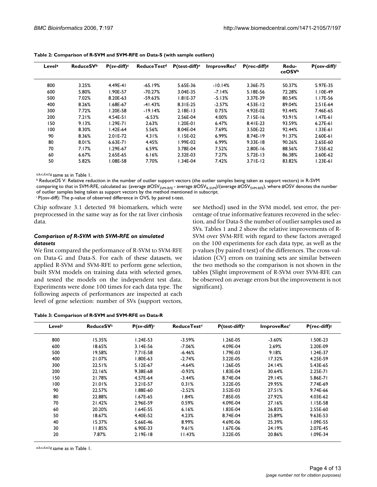| Level <sup>a</sup> | <b>ReduceSV</b> <sup>b</sup> | $P$ (sv-diff) <sup>c</sup> | ReduceTest <sup>d</sup> | $P$ (test-diff) <sup>e</sup> | <b>ImproveRecf</b> | $P$ (rec-diff) <sup>g</sup> | Redu-<br>ceOSVh | $P$ (osv-diff) <sup>i</sup> |
|--------------------|------------------------------|----------------------------|-------------------------|------------------------------|--------------------|-----------------------------|-----------------|-----------------------------|
| 800                | 3.25%                        | 4.49E-41                   | -65.19%                 | 5.65E-36                     | $-10.14%$          | 3.36E-75                    | 50.37%          | 5.97E-35                    |
| 600                | 5.80%                        | .90E-57                    | $-70.27%$               | 3.04E-35                     | $-7.14%$           | 5.18E-56                    | 72.28%          | I.I0E-49                    |
| 500                | 7.02%                        | 8.20E-63                   | -59.63%                 | L81E-37                      | $-5.13%$           | 3.37E-39                    | 80.54%          | I.I7E-56                    |
| 400                | 8.26%                        | L68E-67                    | $-41.43%$               | 8.31E-25                     | $-2.57%$           | $4.53E-12$                  | 89.04%          | $2.51E-64$                  |
| 300                | 7.72%                        | l.20E-58                   | $-19.14%$               | 2.18E-13                     | 0.75%              | 4.92E-02                    | 93.44%          | 7.46E-65                    |
| 200                | 7.21%                        | 4.54E-51                   | $-6.53%$                | 2.56E-04                     | 4.00%              | 7.15E-16                    | 93.91%          | I.47E-61                    |
| 150                | 9.13%                        | I.29E-71                   | 2.63%                   | $1.20E - 01$                 | 6.47%              | 8.41E-23                    | 93.59%          | $6.27E-61$                  |
| 100                | 8.30%                        | I.42E-64                   | 5.56%                   | 8.04E-04                     | 7.69%              | 3.50E-22                    | 92.44%          | I.33E-61                    |
| 90                 | 8.36%                        | 2.01E-72                   | 4.31%                   | I.15E-02                     | 6.99%              | 8.74E-19                    | 91.37%          | 2.60E-61                    |
| 80                 | 8.01%                        | $6.63E - 71$               | 4.45%                   | I.99E-02                     | 6.99%              | $9.33E - 18$                | 90.26%          | 2.65E-60                    |
| 70                 | 7.17%                        | I.29E-67                   | 6.59%                   | 3.78E-04                     | 7.52%              | 2.80E-16                    | 88.56%          | 7.55E-62                    |
| 60                 | 6.67%                        | 2.65E-65                   | 6.16%                   | 2.32E-03                     | 7.27%              | $5.72E - 13$                | 86.38%          | 2.60E-62                    |
| 50                 | 5.82%                        | I.08E-58                   | 7.70%                   | I.34E-04                     | 7.42%              | $3.71E-12$                  | 83.82%          | I.23E-61                    |

**Table 2: Comparison of R-SVM and SVM-RFE on Data-S (with sample outliers)**

a,b,c,d,e,f,g same as in Table 1.

h ReduceOS V: Relative reduction in the number of outlier support vectors (the outlier samples being taken as support vectors) in R-SVM comparing to that in SVM-RFE, calculated as: (average #OSV<sub>SVM-RFE</sub> - average #OSV<sub>R-SVM</sub>)/(average #OSV<sub>SVM-RFE</sub>), where #OSV denotes the number

of outlier samples being taken as support vectors by the method mentioned in subscript.

i P(osv-diff): The p-value of observed difference in OVS, by paired t-test.

Chip software 3.1 detected 98 biomarkers, which were preprocessed in the same way as for the rat liver cirrhosis data.

#### *Comparison of R-SVM with SVM-RFE on simulated datasets*

We first compared the performance of R-SVM to SVM-RFE on Data-G and Data-S. For each of these datasets, we applied R-SVM and SVM-RFE to perform gene selection, built SVM models on training data with selected genes, and tested the models on the independent test data. Experiments were done 100 times for each data type. The following aspects of performances are inspected at each level of gene selection: number of SVs (support vectors,

see Method) used in the SVM model, test error, the percentage of true informative features recovered in the selection, and for Data-S the number of outlier samples used as SVs. Tables 1 and 2 show the relative improvements of R-SVM over SVM-RFE with regard to these factors averaged on the 100 experiments for each data type, as well as the p-values (by paired t-test) of the differences. The cross-validation (CV) errors on training sets are similar between the two methods so the comparison is not shown in the tables (Slight improvement of R-SVM over SVM-RFE can be observed on average errors but the improvement is not significant).

**Table 3: Comparison of R-SVM and SVM-RFE on Data-R**

| Level <sup>a</sup> | <b>ReduceSV</b> <sup>b</sup> | $P$ (sv-diff) <sup>c</sup> | <b>ReduceTestd</b> | $P$ (test-diff) <sup>e</sup> | <b>ImproveRecf</b> | $P$ (rec-diff) $8$ |
|--------------------|------------------------------|----------------------------|--------------------|------------------------------|--------------------|--------------------|
| 800                | 15.35%                       | $1.24E-53$                 | $-3.59%$           | I.26E-05                     | $-3.60%$           | L50E-23            |
| 600                | 18.65%                       | 3.14E-56                   | $-7.06%$           | 4.09E-04                     | 2.69%              | 2.20E-09           |
| 500                | 19.58%                       | 7.71E-58                   | -6.46%             | I.79E-03                     | 9.18%              | $1.24E-37$         |
| 400                | 21.07%                       | I.80E-63                   | $-2.74%$           | 3.22E-05                     | 17.32%             | 4.25E-59           |
| 300                | 22.51%                       | 5.12E-67                   | $-4.64%$           | I.26E-05                     | 24.14%             | 5.43E-65           |
| 200                | 22.16%                       | 9.38E-68                   | $-0.93%$           | I.83E-04                     | 30.64%             | 2.25E-71           |
| 150                | 21.78%                       | 4.57E-64                   | $-3.44%$           | 8.74E-04                     | 29.14%             | 5.86E-71           |
| 100                | 21.01%                       | 3.21E-57                   | 0.31%              | 3.22E-05                     | 29.95%             | 7.74E-69           |
| 90                 | 22.57%                       | I.88E-60                   | $-2.52%$           | 3.52E-03                     | 27.51%             | 9.74E-66           |
| 80                 | 22.88%                       | $1.67E-65$                 | 1.84%              | 7.85E-05                     | 27.92%             | 4.03E-62           |
| 70                 | 21.42%                       | 2.96E-59                   | 0.59%              | 4.09E-04                     | 27.16%             | <b>I.ISE-58</b>    |
| 60                 | 20.20%                       | $1.64E-55$                 | 6.16%              | I.83E-04                     | 26.83%             | 2.55E-60           |
| 50                 | 18.67%                       | 4.40E-52                   | 4.23%              | 8.74E-04                     | 25.89%             | 9.63E-53           |
| 40                 | 15.37%                       | 5.66E-46                   | 8.99%              | 4.69E-06                     | 25.39%             | I.09E-55           |
| 30                 | 11.85%                       | 6.90E-33                   | 9.61%              | I.67E-06                     | 24.19%             | 2.07E-45           |
| 20                 | 7.87%                        | 2.19E-18                   | 11.43%             | 3.22E-05                     | 20.86%             | I.09E-34           |

a,b,c,d,e,f,g same as in Table 1.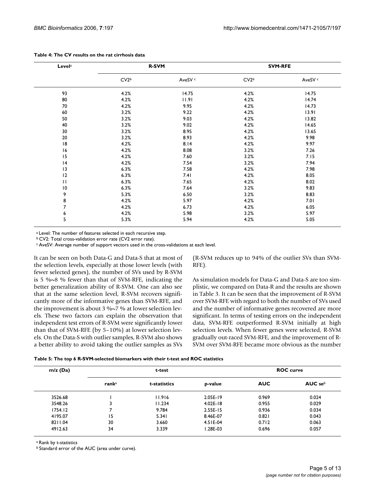| <b>Level</b> <sup>a</sup> |                   | <b>R-SVM</b> |                   | <b>SVM-RFE</b> |
|---------------------------|-------------------|--------------|-------------------|----------------|
|                           | CV <sub>2</sub> b | AveSV c      | CV <sub>2</sub> b | AveSV c        |
| 93                        | 4.2%              | 14.75        | 4.2%              | 14.75          |
| 80                        | 4.2%              | 11.91        | 4.2%              | 14.74          |
| 70                        | 4.2%              | 9.95         | 4.2%              | 14.73          |
| 60                        | 3.2%              | 9.22         | 4.2%              | 13.91          |
| 50                        | 3.2%              | 9.03         | 4.2%              | 13.82          |
| 40                        | 3.2%              | 9.02         | 4.2%              | 14.65          |
| 30                        | 3.2%              | 8.95         | 4.2%              | 13.65          |
| 20                        | 3.2%              | 8.93         | 4.2%              | 9.98           |
| 8                         | 4.2%              | 8.14         | 4.2%              | 9.97           |
| 16                        | 4.2%              | 8.08         | 3.2%              | 7.26           |
| 15                        | 4.2%              | 7.60         | 3.2%              | 7.15           |
| 4                         | 4.2%              | 7.54         | 3.2%              | 7.94           |
| 3                         | 6.3%              | 7.58         | 4.2%              | 7.98           |
| 12                        | 6.3%              | 7.41         | 4.2%              | 8.05           |
| $\mathbf{H}$              | 6.3%              | 7.65         | 4.2%              | 8.02           |
| 10                        | 6.3%              | 7.64         | 3.2%              | 9.83           |
| 9                         | 5.3%              | 6.50         | 3.2%              | 8.83           |
| 8                         | 4.2%              | 5.97         | 4.2%              | 7.01           |
| $\overline{7}$            | 4.2%              | 6.73         | 4.2%              | 6.05           |
| 6                         | 4.2%              | 5.98         | 3.2%              | 5.97           |
| 5                         | 5.3%              | 5.94         | 4.2%              | 5.05           |

#### **Table 4: The CV results on the rat cirrhosis data**

a Level: The number of features selected in each recursive step.

b CV2: Total cross-validation error rate (CV2 error rate).

c AveSV: Average number of support vectors used in the cross-validations at each level.

It can be seen on both Data-G and Data-S that at most of the selection levels, especially at those lower levels (with fewer selected genes), the number of SVs used by R-SVM is 5 %~8 % fewer than that of SVM-RFE, indicating the better generalization ability of R-SVM. One can also see that at the same selection level, R-SVM recovers significantly more of the informative genes than SVM-RFE, and the improvement is about 3 %~7 % at lower selection levels. These two factors can explain the observation that independent test errors of R-SVM were significantly lower than that of SVM-RFE (by 5–10%) at lower selection levels. On the Data-S with outlier samples, R-SVM also shows a better ability to avoid taking the outlier samples as SVs (R-SVM reduces up to 94% of the outlier SVs than SVM-RFE).

As simulation models for Data-G and Data-S are too simplistic, we compared on Data-R and the results are shown in Table 3. It can be seen that the improvement of R-SVM over SVM-RFE with regard to both the number of SVs used and the number of informative genes recovered are more significant. In terms of testing errors on the independent data, SVM-RFE outperformed R-SVM initially at high selection levels. When fewer genes were selected, R-SVM gradually out-raced SVM-RFE, and the improvement of R-SVM over SVM-RFE became more obvious as the number

| Table 5: The top 6 R-SVM-selected biomarkers with their t-test and ROC statistics |
|-----------------------------------------------------------------------------------|
|-----------------------------------------------------------------------------------|

| $m/z$ (Da) |                   | t-test       |              |            | <b>ROC</b> curve      |
|------------|-------------------|--------------|--------------|------------|-----------------------|
|            | rank <sup>a</sup> | t-statistics | p-value      | <b>AUC</b> | $AUC$ se <sup>b</sup> |
| 3526.68    |                   | 11.916       | 2.05E-19     | 0.969      | 0.024                 |
| 3548.26    | 3                 | 11.234       | $4.02E - 18$ | 0.955      | 0.029                 |
| 1754.12    |                   | 9.784        | $2.55E-15$   | 0.936      | 0.034                 |
| 4195.07    | 15                | 5.341        | 8.46E-07     | 0.821      | 0.043                 |
| 8211.04    | 30                | 3.660        | 4.51E-04     | 0.712      | 0.063                 |
| 4912.63    | 34                | 3.339        | I.28E-03     | 0.696      | 0.057                 |

a Rank by t-statistics

b Standard error of the AUC (area under curve).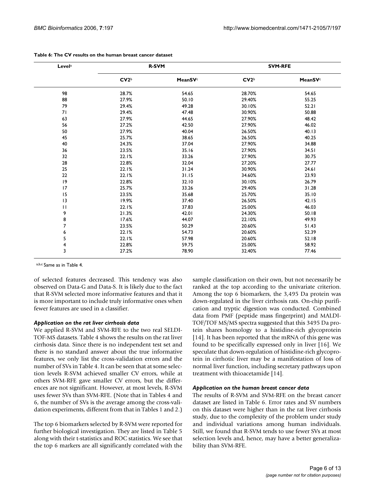| Level <sup>a</sup> |                  | <b>R-SVM</b>    |                  | <b>SVM-RFE</b>             |
|--------------------|------------------|-----------------|------------------|----------------------------|
|                    | CV2 <sup>b</sup> | <b>MeanSV</b> c | CV2 <sup>b</sup> | <b>MeanSV</b> <sup>c</sup> |
| 98                 | 28.7%            | 54.65           | 28.70%           | 54.65                      |
| 88                 | 27.9%            | 50.10           | 29.40%           | 55.25                      |
| 79                 | 29.4%            | 49.28           | 30.10%           | 52.21                      |
| 71                 | 29.4%            | 47.48           | 30.90%           | 50.88                      |
| 63                 | 27.9%            | 44.65           | 27.90%           | 48.42                      |
| 56                 | 27.2%            | 42.50           | 27.90%           | 46.02                      |
| 50                 | 27.9%            | 40.04           | 26.50%           | 40.13                      |
| 45                 | 25.7%            | 38.65           | 26.50%           | 40.25                      |
| 40                 | 24.3%            | 37.04           | 27.90%           | 34.88                      |
| 36                 | 23.5%            | 35.16           | 27.90%           | 34.51                      |
| 32                 | 22.1%            | 33.26           | 27.90%           | 30.75                      |
| 28                 | 22.8%            | 32.04           | 27.20%           | 27.77                      |
| 25                 | 22.1%            | 31.24           | 30.90%           | 24.61                      |
| 22                 | 22.1%            | 31.15           | 34.60%           | 23.93                      |
| 9                  | 22.8%            | 32.10           | 30.10%           | 26.79                      |
| 17                 | 25.7%            | 33.26           | 29.40%           | 31.28                      |
| 15                 | 23.5%            | 35.68           | 25.70%           | 35.10                      |
| 3                  | 19.9%            | 37.40           | 26.50%           | 42.15                      |
| $\mathbf{H}$       | 22.1%            | 37.83           | 25.00%           | 46.03                      |
| 9                  | 21.3%            | 42.01           | 24.30%           | 50.18                      |
| 8                  | 17.6%            | 44.07           | 22.10%           | 49.93                      |
| $\overline{7}$     | 23.5%            | 50.29           | 20.60%           | 51.43                      |
| 6                  | 22.1%            | 54.73           | 20.60%           | 52.39                      |
| 5                  | 22.1%            | 57.98           | 20.60%           | 52.18                      |
| 4                  | 22.8%            | 59.75           | 25.00%           | 58.92                      |
| 3                  | 27.2%            | 78.90           | 32.40%           | 77.46                      |

| Table 6: The CV results on the human breast cancer dataset |
|------------------------------------------------------------|
|                                                            |

a,b,c Same as in Table 4.

of selected features decreased. This tendency was also observed on Data-G and Data-S. It is likely due to the fact that R-SVM selected more informative features and that it is more important to include truly informative ones when fewer features are used in a classifier.

#### *Application on the rat liver cirrhosis data*

We applied R-SVM and SVM-RFE to the two real SELDI-TOF-MS datasets. Table 4 shows the results on the rat liver cirrhosis data. Since there is no independent test set and there is no standard answer about the true informative features, we only list the cross-validation errors and the number of SVs in Table 4. It can be seen that at some selection levels R-SVM achieved smaller CV errors, while at others SVM-RFE gave smaller CV errors, but the differences are not significant. However, at most levels, R-SVM uses fewer SVs than SVM-RFE. (Note that in Tables 4 and 6, the number of SVs is the average among the cross-validation experiments, different from that in Tables 1 and 2.)

The top 6 biomarkers selected by R-SVM were reported for further biological investigation. They are listed in Table 5 along with their t-statistics and ROC statistics. We see that the top 6 markers are all significantly correlated with the sample classification on their own, but not necessarily be ranked at the top according to the univariate criterion. Among the top 6 biomarkers, the 3,495 Da protein was down-regulated in the liver cirrhosis rats. On-chip purification and tryptic digestion was conducted. Combined data from PMF (peptide mass fingerprint) and MALDI-TOF/TOF MS/MS spectra suggested that this 3495 Da protein shares homology to a histidine-rich glycoprotein [14]. It has been reported that the mRNA of this gene was found to be specifically expressed only in liver [16]. We speculate that down-regulation of histidine-rich glycoprotein in cirrhotic liver may be a manifestation of loss of normal liver function, including secretary pathways upon treatment with thioacetamide [14].

#### *Application on the human breast cancer data*

The results of R-SVM and SVM-RFE on the breast cancer dataset are listed in Table 6. Error rates and SV numbers on this dataset were higher than in the rat liver cirrhosis study, due to the complexity of the problem under study and individual variations among human individuals. Still, we found that R-SVM tends to use fewer SVs at most selection levels and, hence, may have a better generalizability than SVM-RFE.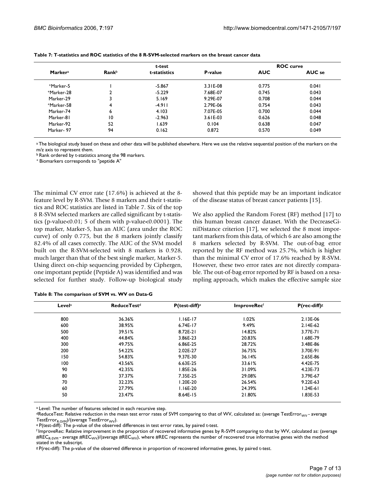|                            |                              | t-test       |                |            | <b>ROC</b> curve |
|----------------------------|------------------------------|--------------|----------------|------------|------------------|
| <b>Marker</b> <sup>a</sup> | $\mathbf{Rank}^{\mathrm{b}}$ | t-statistics | <b>P-value</b> | <b>AUC</b> | AUC se           |
| <sup>+</sup> Marker-5      |                              | $-5.867$     | 3.31E-08       | 0.775      | 0.041            |
| *Marker-28                 |                              | $-5.229$     | 7.68E-07       | 0.745      | 0.043            |
| Marker-29                  |                              | 5.169        | 9.29E-07       | 0.708      | 0.044            |
| *Marker-58                 | 4                            | $-4.9$       | 2.79E-06       | 0.754      | 0.043            |
| Marker-74                  | 6                            | 4.103        | 7.07E-05       | 0.700      | 0.044            |
| Marker-81                  | $\overline{0}$               | $-2.963$     | $3.61E-03$     | 0.626      | 0.048            |
| Marker-92                  | 52                           | 1.639        | 0.104          | 0.638      | 0.047            |
| Marker-97                  | 94                           | 0.162        | 0.872          | 0.570      | 0.049            |

a The biological study based on these and other data will be published elsewhere. Here we use the relative sequential position of the markers on the m/z axis to represent them.

b Rank ordered by t-statistics among the 98 markers.

+ Biomarkers corresponds to "peptide A"

The minimal CV error rate (17.6%) is achieved at the 8 feature level by R-SVM. These 8 markers and their t-statistics and ROC statistics are listed in Table 7. Six of the top 8 R-SVM selected markers are called significant by t-statistics (p-value<0.01; 5 of them with p-value<0.0001). The top marker, Marker-5, has an AUC (area under the ROC curve) of only 0.775, but the 8 markers jointly classify 82.4% of all cases correctly. The AUC of the SVM model built on the R-SVM-selected with 8 markers is 0.928, much larger than that of the best single marker, Marker-5. Using direct on-chip sequencing provided by Ciphergen, one important peptide (Peptide A) was identified and was selected for further study. Follow-up biological study showed that this peptide may be an important indicator of the disease status of breast cancer patients [15].

We also applied the Random Forest (RF) method [17] to this human breast cancer dataset. With the DecreaseGiniDistance criterion [17], we selected the 8 most important markers from this data, of which 6 are also among the 8 markers selected by R-SVM. The out-of-bag error reported by the RF method was 25.7%, which is higher than the minimal CV error of 17.6% reached by R-SVM. However, these two error rates are not directly comparable. The out-of-bag error reported by RF is based on a resampling approach, which makes the effective sample size

| <b>Level</b> <sup>a</sup> | <b>ReduceTestd</b> | $P$ (test-diff) <sup>e</sup> | <b>ImproveRecf</b> | $P$ (rec-diff) $\epsilon$ |
|---------------------------|--------------------|------------------------------|--------------------|---------------------------|
| 800                       | 36.36%             | $1.16E-17$                   | 1.02%              | 2.13E-06                  |
| 600                       | 38.95%             | $6.74E - 17$                 | 9.49%              | $2.14E-62$                |
| 500                       | 39.51%             | 8.72E-21                     | 14.82%             | $3.77E - 71$              |
| 400                       | 44.84%             | 3.86E-23                     | 20.83%             | I.68E-79                  |
| 300                       | 49.75%             | 6.86E-25                     | 28.72%             | 3.48E-86                  |
| 200                       | 54.22%             | 2.02E-27                     | 36.75%             | 3.70E-91                  |
| 150                       | 54.83%             | 9.37E-30                     | 36.14%             | 2.65E-86                  |
| 100                       | 43.56%             | $6.63E-25$                   | 33.61%             | 4.42E-75                  |
| 90                        | 42.35%             | I.85E-26                     | 31.09%             | 4.23E-73                  |
| 80                        | 37.37%             | 7.35E-25                     | 29.08%             | 3.79E-67                  |
| 70                        | 32.23%             | I.20E-20                     | 26.54%             | $9.22E-63$                |
| 60                        | 27.79%             | $1.16E-20$                   | 24.39%             | $1.24E-6I$                |
| 50                        | 23.47%             | $8.64E - 15$                 | 21.80%             | $1.83E-53$                |

a Level: The number of features selected in each recursive step.

<sup>d</sup>ReduceTest: Relative reduction in the mean test error rates of SVM comparing to that of WV, calculated as: (average TestError<sub>WV</sub> - average TestError (WV) - average TestError (WV) - average TestError (WV) - average Tes

e P(test-diff): The p-value of the observed differences in test error rates, by paired t-test.

f ImproveRec: Relative improvement in the proportion of recovered informative genes by R-SVM comparing to that by WV, calculated as: (average #REC<sub>R-SVM</sub> - average #REC<sub>WV</sub>)/(average #REC<sub>WV</sub>), where #REC represents the number of recovered true informative genes with the method stated in the subscript.

g P(rec-diff): The p-value of the observed difference in proportion of recovered informative genes, by paired t-test.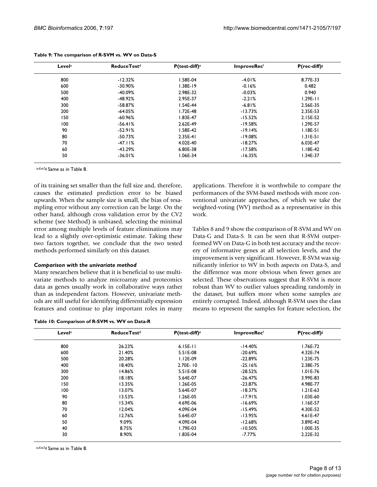| Level <sup>a</sup> | <b>ReduceTestd</b> | $P$ (test-diff) <sup>e</sup> | <b>ImproveRecf</b> | $P$ (rec-diff) $8$ |
|--------------------|--------------------|------------------------------|--------------------|--------------------|
| 800                | $-12.32%$          | I.58E-04                     | $-4.01%$           | 8.77E-33           |
| 600                | $-30.90\%$         | $1.38E-19$                   | $-0.16%$           | 0.482              |
| 500                | $-40.09%$          | 2.98E-32                     | $-0.03%$           | 0.940              |
| 400                | -48.92%            | 2.95E-37                     | $-2.21%$           | $1.29E - 11$       |
| 300                | -58.87%            | $1.54E-44$                   | $-6.81%$           | 2.56E-35           |
| 200                | $-64.05%$          | $1.72E-48$                   | $-13.73%$          | 2.35E-53           |
| 150                | -60.96%            | $1.83E - 47$                 | $-15.52%$          | 2.15E-52           |
| 100                | $-56.41%$          | 2.62E-49                     | $-19.58%$          | I.29E-57           |
| 90                 | -52.91%            | I.58E-42                     | $-19.14%$          | $1.18E - 51$       |
| 80                 | -50.73%            | 2.35E-41                     | $-19.08%$          | $1.31E-51$         |
| 70                 | $-47.11%$          | 4.02E-40                     | $-18.27%$          | 6.03E-47           |
| 60                 | $-43.29%$          | 6.80E-38                     | $-17.58%$          | $1.18E-42$         |
| 50                 | $-36.01%$          | $1.06E-34$                   | $-16.35%$          | $1.34E-37$         |

| Table 9: The comparison of R-SVM vs. WV on Data-S |  |  |  |
|---------------------------------------------------|--|--|--|
|                                                   |  |  |  |

a,d,e,f,g Same as in Table 8.

of its training set smaller than the full size and, therefore, causes the estimated prediction error to be biased upwards. When the sample size is small, the bias of resampling error without any correction can be large. On the other hand, although cross validation error by the CV2 scheme (see Method) is unbiased, selecting the minimal error among multiple levels of feature eliminations may lead to a slightly over-optimistic estimate. Taking these two factors together, we conclude that the two tested methods performed similarly on this dataset.

#### *Comparison with the univariate method*

Many researchers believe that it is beneficial to use multivariate methods to analyze microarray and proteomics data as genes usually work in collaborative ways rather than as independent factors. However, univariate methods are still useful for identifying differentially expression features and continue to play important roles in many

applications. Therefore it is worthwhile to compare the performances of the SVM-based methods with more conventional univariate approaches, of which we take the weighted-voting (WV) method as a representative in this work.

Tables 8 and 9 show the comparison of R-SVM and WV on Data-G and Data-S. It can be seen that R-SVM outperformed WV on Data-G in both test accuracy and the recovery of informative genes at all selection levels, and the improvement is very significant. However, R-SVM was significantly inferior to WV in both aspects on Data-S, and the difference was more obvious when fewer genes are selected. These observations suggest that R-SVM is more robust than WV to outlier values spreading randomly in the dataset, but suffers more when some samples are entirely corrupted. Indeed, although R-SVM uses the class means to represent the samples for feature selection, the

| Levela | <b>ReduceTestd</b> | $P$ (test-diff) <sup>e</sup> | <b>ImproveRecf</b> | $P$ (rec-diff) $\epsilon$ |
|--------|--------------------|------------------------------|--------------------|---------------------------|
| 800    | 26.23%             | $6.15E - 11$                 | $-14.40%$          | I.76E-72                  |
| 600    | 21.40%             | 5.51E-08                     | -20.69%            | 4.32E-74                  |
| 500    | 20.28%             | $1.12E-09$                   | $-22.89%$          | $1.23E - 75$              |
| 400    | 18.40%             | 2.70E-10                     | $-25.16%$          | 2.38E-75                  |
| 300    | 14.86%             | 5.51E-08                     | $-28.52%$          | 1.01E-76                  |
| 200    | 18.18%             | 5.64E-07                     | $-26.47%$          | 3.99E-83                  |
| 150    | 13.35%             | I.26E-05                     | $-23.87%$          | 4.98E-77                  |
| 100    | 13.07%             | 5.64E-07                     | $-18.37%$          | $1.21E-63$                |
| 90     | 13.53%             | I.26E-05                     | $-17.91%$          | $1.03E-60$                |
| 80     | 15.34%             | 4.69E-06                     | $-16.69%$          | $1.16E-57$                |
| 70     | 12.04%             | 4.09E-04                     | $-15.49%$          | 4.30E-52                  |
| 60     | 12.76%             | 5.64E-07                     | $-13.95%$          | 4.61E-47                  |
| 50     | 9.09%              | 4.09E-04                     | $-12.68%$          | 3.89E-42                  |
| 40     | 8.75%              | I.79E-03                     | $-10.50%$          | I.00E-35                  |
| 30     | 8.90%              | I.83E-04                     | -7.77%             | 2.22E-32                  |

a,d,e,f,g Same as in Table 8.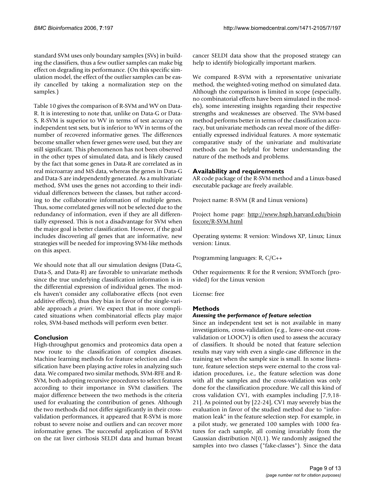standard SVM uses only boundary samples (SVs) in building the classifiers, thus a few outlier samples can make big effect on degrading its performance. (On this specific simulation model, the effect of the outlier samples can be easily cancelled by taking a normalization step on the samples.)

Table 10 gives the comparison of R-SVM and WV on Data-R. It is interesting to note that, unlike on Data-G or Data-S, R-SVM is superior to WV in terms of test accuracy on independent test sets, but is inferior to WV in terms of the number of recovered informative genes. The differences become smaller when fewer genes were used, but they are still significant. This phenomenon has not been observed in the other types of simulated data, and is likely caused by the fact that some genes in Data-R are correlated as in real microarray and MS data, whereas the genes in Data-G and Data-S are independently generated. As a multivariate method, SVM uses the genes not according to their individual differences between the classes, but rather according to the collaborative information of multiple genes. Thus, some correlated genes will not be selected due to the redundancy of information, even if they are all differentially expressed. This is not a disadvantage for SVM when the major goal is better classification. However, if the goal includes discovering *all* genes that are informative, new strategies will be needed for improving SVM-like methods on this aspect.

We should note that all our simulation designs (Data-G, Data-S, and Data-R) are favorable to univariate methods since the true underlying classification information is in the differential expression of individual genes. The models haven't consider any collaborative effects (not even additive effects), thus they bias in favor of the single-variable approach *a priori*. We expect that in more complicated situations when combinatorial effects play major roles, SVM-based methods will perform even better.

#### **Conclusion**

High-throughput genomics and proteomics data open a new route to the classification of complex diseases. Machine learning methods for feature selection and classification have been playing active roles in analyzing such data. We compared two similar methods, SVM-RFE and R-SVM, both adopting recursive procedures to select features according to their importance in SVM classifiers. The major difference between the two methods is the criteria used for evaluating the contribution of genes. Although the two methods did not differ significantly in their crossvalidation performances, it appeared that R-SVM is more robust to severe noise and outliers and can recover more informative genes. The successful application of R-SVM on the rat liver cirrhosis SELDI data and human breast cancer SELDI data show that the proposed strategy can help to identify biologically important markers.

We compared R-SVM with a representative univariate method, the weighted-voting method on simulated data. Although the comparison is limited in scope (especially, no combinatorial effects have been simulated in the models), some interesting insights regarding their respective strengths and weaknesses are observed. The SVM-based method performs better in terms of the classification accuracy, but univariate methods can reveal more of the differentially expressed individual features. A more systematic comparative study of the univariate and multivariate methods can be helpful for better understanding the nature of the methods and problems.

#### **Availability and requirements**

AR code package of the R-SVM method and a Linux-based executable package are freely available.

Project name: R-SVM (R and Linux versions)

Project home page: [http://www.hsph.harvard.edu/bioin](http://www.hsph.harvard.edu/bioinfocore/R-SVM.html) [focore/R-SVM.html](http://www.hsph.harvard.edu/bioinfocore/R-SVM.html)

Operating systems: R version: Windows XP, Linux; Linux version: Linux.

Programming languages: R, C/C++

Other requirements: R for the R version; SVMTorch (provided) for the Linux version

License: free

#### **Methods**

#### *Assessing the performance of feature selection*

Since an independent test set is not available in many investigations, cross-validation (e.g., leave-one-out crossvalidation or LOOCV) is often used to assess the accuracy of classifiers. It should be noted that feature selection results may vary with even a single-case difference in the training set when the sample size is small. In some literature, feature selection steps were external to the cross validation procedures, i.e., the feature selection was done with all the samples and the cross-validation was only done for the classification procedure. We call this kind of cross validation CV1, with examples including [7,9,18- 21]. As pointed out by [22-24], CV1 may severely bias the evaluation in favor of the studied method due to "information leak" in the feature selection step. For example, in a pilot study, we generated 100 samples with 1000 features for each sample, all coming invariably from the Gaussian distribution *N*(0,1). We randomly assigned the samples into two classes ("fake-classes"). Since the data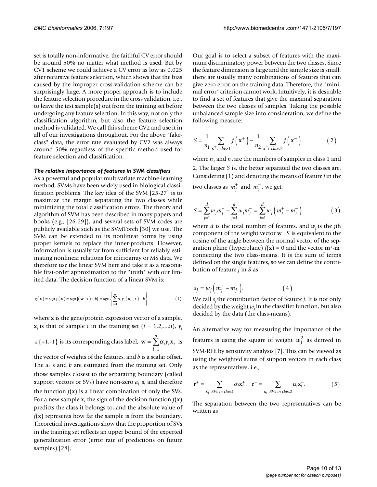set is totally non-informative, the faithful CV error should be around 50% no matter what method is used. But by CV1 scheme we could achieve a CV error as low as 0.025 after recursive feature selection, which shows that the bias caused by the improper cross-validation scheme can be surprisingly large. A more proper approach is to include the feature selection procedure in the cross validation, i.e., to leave the test sample(s) out from the training set before undergoing any feature selection. In this way, not only the classification algorithm, but also the feature selection method is validated. We call this scheme CV2 and use it in all of our investigations throughout. For the above "fakeclass" data, the error rate evaluated by CV2 was always around 50% regardless of the specific method used for feature selection and classification.

#### *The relative importance of features in SVM classifiers*

As a powerful and popular multivariate machine-learning method, SVMs have been widely used in biological classification problems. The key idea of the SVM [25-27] is to maximize the margin separating the two classes while minimizing the total classification errors. The theory and algorithm of SVM has been described in many papers and books (e.g., [26-29]), and several sets of SVM codes are publicly available such as the SVMTorch [30] we use. The SVM can be extended to its nonlinear forms by using proper kernels to replace the inner-products. However, information is usually far from sufficient for reliably estimating nonlinear relations for microarray or MS data. We therefore use the linear SVM here and take it as a reasonable first-order approximation to the "truth" with our limited data. The decision function of a linear SVM is:

$$
g(\mathbf{x}) = \operatorname{sgn} f(\mathbf{x}) = \operatorname{sgn}\left\{ (\mathbf{w} \cdot \mathbf{x}) + b \right\} = \operatorname{sgn}\left\{ \sum_{i=1}^{n} \alpha_i \gamma_i (\mathbf{x}_i \cdot \mathbf{x}) + b \right\}
$$
(1)

where **x** is the gene/protein expression vector of a sample,  $\mathbf{x}_i$  is that of sample *i* in the training set (*i* = 1,2,...,*n*),  $\gamma_i$ 

$$
\in \{+1,-1\}
$$
 is its corresponding class label,  $\mathbf{w} = \sum_{i=1}^{n} \alpha_i \gamma_i \mathbf{x}_i$  is

the vector of weights of the features, and *b* is a scalar offset. The  $a_i$ 's and *b* are estimated from the training set. Only those samples closest to the separating boundary (called support vectors or SVs) have non-zero *ai* 's, and therefore the function  $f(x)$  is a linear combination of only the SVs. For a new sample **x**, the sign of the decision function  $f(x)$ predicts the class it belongs to, and the absolute value of *f*(**x**) represents how far the sample is from the boundary. Theoretical investigations show that the proportion of SVs in the training set reflects an upper bound of the expected generalization error (error rate of predictions on future samples) [28].

Our goal is to select a subset of features with the maximum discriminatory power between the two classes. Since the feature dimension is large and the sample size is small, there are usually many combinations of features that can give zero error on the training data. Therefore, the "minimal error" criterion cannot work. Intuitively, it is desirable to find a set of features that give the maximal separation between the two classes of samples. Taking the possible unbalanced sample size into consideration, we define the following measure:

$$
S = \frac{1}{n_1} \sum_{\mathbf{x}^+ \in \text{class1}} f\left(\mathbf{x}^+\right) - \frac{1}{n_2} \sum_{\mathbf{x}^- \in \text{class2}} f\left(\mathbf{x}^-\right) \tag{2}
$$

where  $n_1$  and  $n_2$  are the numbers of samples in class 1 and 2. The larger *S* is, the better separated the two classes are. Considering (1) and denoting the means of feature *j* in the two classes as  $m_j^+$  and  $m_j^-$ , we get:

$$
S = \sum_{j=1}^{d} w_j m_j^+ - \sum_{j=1}^{d} w_j m_j^- = \sum_{j=1}^{d} w_j \left( m_j^+ - m_j^- \right) \tag{3}
$$

where *d* is the total number of features, and  $w_i$  is the *j*th component of the weight vector **w** . *S* is equivalent to the cosine of the angle between the normal vector of the separation plane (hyperplane)  $f(x) = 0$  and the vector  $m^+$ - $m^$ connecting the two class-means. It is the sum of terms defined on the single features, so we can define the contribution of feature *j* in *S* as

$$
s_j = w_j \left( m_j^+ - m_j^- \right). \tag{4}
$$

We call *sj* the contribution factor of feature *j*. It is not only decided by the weight  $w_i$  in the classifier function, but also decided by the data (the class-means).

An alternative way for measuring the importance of the features is using the square of weight  $w_j^2$  as derived in SVM-RFE by sensitivity analysis [7]. This can be viewed as using the weighted sums of support vectors in each class as the representatives, i.e.,

$$
\mathbf{r}^{+} = \sum_{\mathbf{x}_{i}^{+}:SVs \text{ in class 1}} \alpha_{i} \mathbf{x}_{i}^{+}, \quad \mathbf{r}^{-} = \sum_{\mathbf{x}_{i}^{-}:SVs \text{ in class 2}} \alpha_{i} \mathbf{x}_{i}^{-}. \tag{5}
$$

The separation between the two representatives can be written as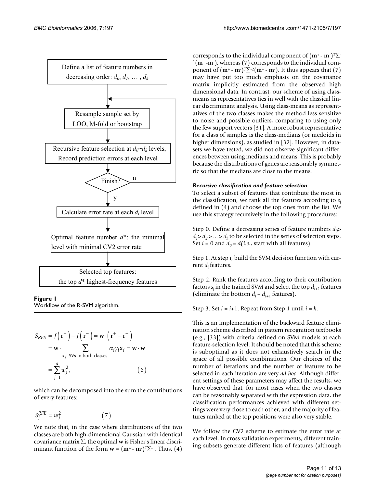

#### **Figure 1** Workflow of the R-SVM algorithm.

$$
S_{RFE} = f(\mathbf{r}^+) - f(\mathbf{r}^-) = \mathbf{w} \cdot (\mathbf{r}^+ - \mathbf{r}^-)
$$
  
=  $\mathbf{w} \cdot \sum_{\mathbf{x}_i: \text{SVs in both classes}} \alpha_i y_i \mathbf{x}_i = \mathbf{w} \cdot \mathbf{w}$   
=  $\sum_{j=1}^d w_j^2$ , (6)

which can be decomposed into the sum the contributions of every features:

$$
S_j^{RFE} = w_j^2 \tag{7}
$$

We note that, in the case where distributions of the two classes are both high-dimensional Gaussian with identical covariance matrix ∑, the optimal **w** is Fisher's linear discriminant function of the form  $\mathbf{w} = (\mathbf{m}^* \cdot \mathbf{m}^{\cdot})^T \Sigma^{-1}$ . Thus, (4)

corresponds to the individual component of (**m**+ - **m**- )*<sup>T</sup>*∑- 1(**m**+ -**m**- ), whereas (7) corresponds to the individual component of  $(m^+ - m^-)$ <sup> $T\Sigma$ -2 $(m^+ - m^-)$ . It thus appears that (7)</sup> may have put too much emphasis on the covariance matrix implicitly estimated from the observed high dimensional data. In contrast, our scheme of using classmeans as representatives ties in well with the classical linear discriminant analysis. Using class-means as representatives of the two classes makes the method less sensitive to noise and possible outliers, comparing to using only the few support vectors [31]. A more robust representative for a class of samples is the class-medians (or medoids in higher dimensions), as studied in [32]. However, in datasets we have tested, we did not observe significant differences between using medians and means. This is probably because the distributions of genes are reasonably symmetric so that the medians are close to the means.

### *Recursive classification and feature selection*

To select a subset of features that contribute the most in the classification, we rank all the features according to  $s_i$ defined in (4) and choose the top ones from the list. We use this strategy recursively in the following procedures:

Step 0. Define a decreasing series of feature numbers  $d_0$ >  $d_1>d_2$  ... >  $d_k$  to be selected in the series of selection steps. Set *i* = 0 and  $d_0 = d(i.e.,$  start with all features).

Step 1. At step *i*, build the SVM decision function with current *d<sub>i</sub>* features.

Step 2. Rank the features according to their contribution factors  $s_i$  in the trained SVM and select the top  $d_{i+1}$  features (eliminate the bottom  $d_i - d_{i+1}$  features).

Step 3. Set  $i = i+1$ . Repeat from Step 1 until  $i = k$ .

This is an implementation of the backward feature elimination scheme described in pattern recognition textbooks (e.g., [33]) with criteria defined on SVM models at each feature-selection level. It should be noted that this scheme is suboptimal as it does not exhaustively search in the space of all possible combinations. Our choices of the number of iterations and the number of features to be selected in each iteration are very *ad hoc*. Although different settings of these parameters may affect the results, we have observed that, for most cases when the two classes can be reasonably separated with the expression data, the classification performances achieved with different settings were very close to each other, and the majority of features ranked at the top positions were also very stable.

We follow the CV2 scheme to estimate the error rate at each level. In cross-validation experiments, different training subsets generate different lists of features (although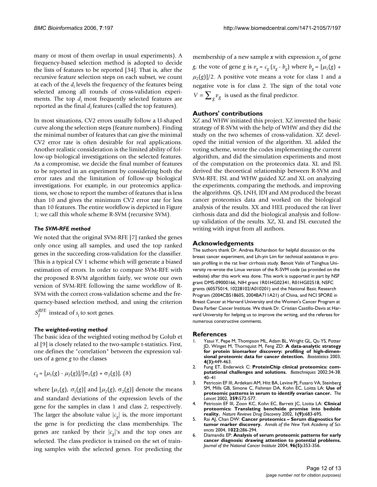many or most of them overlap in usual experiments). A frequency-based selection method is adopted to decide the lists of features to be reported [34]. That is, after the recursive feature selection steps on each subset, we count at each of the *di* levels the frequency of the features being selected among all rounds of cross-validation experiments. The top  $d_i$  most frequently selected features are reported as the final  $d_i$  features (called the top features).

In most situations, CV2 errors usually follow a U-shaped curve along the selection steps (feature numbers). Finding the minimal number of features that can give the minimal CV2 error rate is often desirable for real applications. Another realistic consideration is the limited ability of follow-up biological investigations on the selected features. As a compromise, we decide the final number of features to be reported in an experiment by considering both the error rates and the limitation of follow-up biological investigations. For example, in our proteomics applications, we chose to report the number of features that is less than 10 and gives the minimum CV2 error rate for less than 10 features. The entire workflow is depicted in Figure 1; we call this whole scheme R-SVM (recursive SVM).

#### *The SVM-RFE method*

We noted that the original SVM-RFE [7] ranked the genes only once using all samples, and used the top ranked genes in the succeeding cross-validation for the classifier. This is a typical CV 1 scheme which will generate a biased estimation of errors. In order to compare SVM-RFE with the proposed R-SVM algorithm fairly, we wrote our own version of SVM-RFE following the same workflow of R-SVM with the correct cross-validation scheme and the frequency-based selection method, and using the criterion

 $S_j^{RFE}$  instead of *s<sub>j</sub>* to sort genes.

#### *The weighted-voting method*

The basic idea of the weighted voting method by Golub et al [9] is closely related to the two-sample t-statistics. First, one defines the "correlation" between the expression values of a gene *g* to the classes

$$
c_g = [\mu_1(g) - \mu_2(g)]/[\sigma_1(g) + \sigma_2(g)],
$$
 (8)

where  $[\mu_1(g), \sigma_1(g)]$  and  $[\mu_2(g), \sigma_2(g)]$  denote the means and standard deviations of the expression levels of the gene for the samples in class 1 and class 2, respectively. The larger the absolute value  $|c_g|$  is, the more important the gene is for predicting the class memberships. The genes are ranked by their  $|c_g|$ 's and the top ones are selected. The class predictor is trained on the set of training samples with the selected genes. For predicting the membership of a new sample  $x$  with expression  $x_g$  of gene *g*, the vote of gene *g* is  $v_g = c_g (x_g - b_g)$  where  $b_g = [\mu_1(g) +$  $\mu_2(g)/2$ . A positive vote means a vote for class 1 and a negative vote is for class 2. The sign of the total vote  $V = \sum_{g} v_g$  is used as the final predictor.

### **Authors' contributions**

XZ and WHW initiated this project. XZ invented the basic strategy of R-SVM with the help of WHW and they did the study on the two schemes of cross-validation. XZ developed the initial version of the algorithm. XL added the voting scheme, wrote the codes implementing the current algorithm, and did the simulation experiments and most of the computation on the proteomics data. XL and JSL derived the theoretical relationship between R-SVM and SVM-RFE. JSL and WHW guided XZ and XL on analyzing the experiments, comparing the methods, and improving the algorithms. QS, LNH, JDI and AM produced the breast cancer proteomics data and worked on the biological analysis of the results. XX and HEL produced the rat liver cirrhosis data and did the biological analysis and followup validation of the results. XZ, XL and JSL executed the writing with input from all authors.

#### **Acknowledgements**

The authors thank Dr. Andrea Richardson for helpful discussion on the breast cancer experiment, and Lih-yin Lim for technical assistance in protein profiling in the rat liver cirrhosis study. Benoit Valin of Tsinghua University re-wrote the Linux version of the R-SVM code (as provided on the website) after this work was done. This work is supported in part by NSF grant DMS-09000166, NIH grant 1R01HG02341, R01HG02518, NSFC grants (60575014, 10228102/A010201) and the National Basic Research Program (2004CB518605, 2004BA711A21) of China, and NCI SPORE in Breast Cancer at Harvard University and the Women's Cancer Program at Dana Farber Cancer Institute. We thank Dr. Cristian Castillo-Davis at Harvard University for helping us to improve the writing, and the referees for numerous constructive comments.

#### **References**

- Yasui Y, Pepe M, Thompson ML, Adam BL, Wright GL, Qu YS, Potter JD, Winget M, Thornquist M, Feng ZD: **A data-analytic strategy for protein biomarker discovery: profiling of high-dimensional proteomic data for cancer detection.** *Biostatistics* 2003, **4(3):**449-463.
- 2. Fung ET, Enderwick C: **[ProteinChip clinical proteomics: com](http://www.ncbi.nlm.nih.gov/entrez/query.fcgi?cmd=Retrieve&db=PubMed&dopt=Abstract&list_uids=11906005)[putational challenges and solutions.](http://www.ncbi.nlm.nih.gov/entrez/query.fcgi?cmd=Retrieve&db=PubMed&dopt=Abstract&list_uids=11906005)** *Biotechniques* 2002:34-38.  $40 - 41$
- 3. Petricoin EF III, Ardekani AM, Hitt BA, Levine PJ, Fusaro VA, Steinberg SM, Mills GB, Simone C, Fishman DA, Kohn EC, Loitta LA: **Use of proteomic patterns in serum to identify ovarian cancer.** *The Lancet* 2002, **359:**572-577.
- 4. Petricoin EF III, Zoon KC, Kohn EC, Barrett JC, Liotta LA: **[Clinical](http://www.ncbi.nlm.nih.gov/entrez/query.fcgi?cmd=Retrieve&db=PubMed&dopt=Abstract&list_uids=12209149) [proteomics: Translating benchside promise into bedside](http://www.ncbi.nlm.nih.gov/entrez/query.fcgi?cmd=Retrieve&db=PubMed&dopt=Abstract&list_uids=12209149) [reality.](http://www.ncbi.nlm.nih.gov/entrez/query.fcgi?cmd=Retrieve&db=PubMed&dopt=Abstract&list_uids=12209149)** *Nature Reviews Drug Discovery* 2002, **1(9):**683-695.
- 5. Rai AJ, Chan DW: **[Cancer proteomics Serum diagnostics for](http://www.ncbi.nlm.nih.gov/entrez/query.fcgi?cmd=Retrieve&db=PubMed&dopt=Abstract&list_uids=15251974) [tumor marker discovery.](http://www.ncbi.nlm.nih.gov/entrez/query.fcgi?cmd=Retrieve&db=PubMed&dopt=Abstract&list_uids=15251974)** *Annals of the New York Academy of Sciences* 2004, **1022:**286-294.
- 6. Diamandis EP: **[Analysis of serum proteomic patterns for early](http://www.ncbi.nlm.nih.gov/entrez/query.fcgi?cmd=Retrieve&db=PubMed&dopt=Abstract&list_uids=14996856) [cancer diagnosis: drawing attention to potential problems.](http://www.ncbi.nlm.nih.gov/entrez/query.fcgi?cmd=Retrieve&db=PubMed&dopt=Abstract&list_uids=14996856)** *Journal of the National Cancer Institute* 2004, **96(5):**353-356.